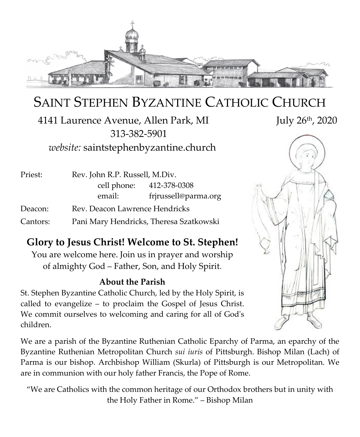

# SAINT STEPHEN BYZANTINE CATHOLIC CHURCH

4141 Laurence Avenue, Allen Park, MI July 26<sup>th</sup>, 2020 313-382-5901 *website:* saintstephenbyzantine.church

| Priest:  | Rev. John R.P. Russell, M.Div.          |                          |
|----------|-----------------------------------------|--------------------------|
|          |                                         | cell phone: 412-378-0308 |
|          | email:                                  | frjrussell@parma.org     |
| Deacon:  | Rev. Deacon Lawrence Hendricks          |                          |
| Cantors: | Pani Mary Hendricks, Theresa Szatkowski |                          |

### **Glory to Jesus Christ! Welcome to St. Stephen!**

You are welcome here. Join us in prayer and worship of almighty God – Father, Son, and Holy Spirit.

#### **About the Parish**

St. Stephen Byzantine Catholic Church, led by the Holy Spirit, is called to evangelize – to proclaim the Gospel of Jesus Christ. We commit ourselves to welcoming and caring for all of God's children.

We are a parish of the Byzantine Ruthenian Catholic Eparchy of Parma, an eparchy of the Byzantine Ruthenian Metropolitan Church *sui iuris* of Pittsburgh. Bishop Milan (Lach) of Parma is our bishop. Archbishop William (Skurla) of Pittsburgh is our Metropolitan. We are in communion with our holy father Francis, the Pope of Rome.

"We are Catholics with the common heritage of our Orthodox brothers but in unity with the Holy Father in Rome." – Bishop Milan

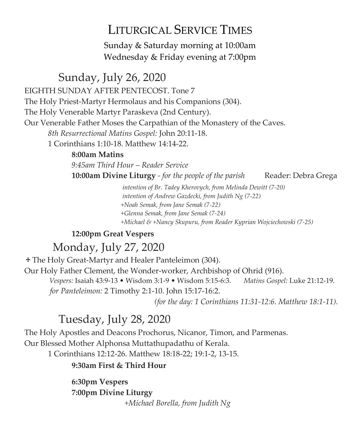## LITURGICAL SERVICE TIMES

Sunday & Saturday morning at 10:00am Wednesday & Friday evening at 7:00pm

### Sunday, July 26, 2020

EIGHTH SUNDAY AFTER PENTECOST. Tone 7

The Holy Priest-Martyr Hermolaus and his Companions (304).

The Holy Venerable Martyr Paraskeva (2nd Century).

Our Venerable Father Moses the Carpathian of the Monastery of the Caves.

*8th Resurrectional Matins Gospel:* John 20:11-18.

1 Corinthians 1:10-18. Matthew 14:14-22.

#### **8:00am Matins**

*9:45am Third Hour – Reader Service*

**10:00am Divine Liturgy** *- for the people of the parish* Reader: Debra Grega

 *intention of Br. Tadey Kherovych, from Melinda Dewitt (7-20) intention of Andrew Gazdecki, from Judith Ng (7-22) +Noah Semak, from Jane Semak (7-22) +Glenna Semak, from Jane Semak (7-24) +Michael & +Nancy Skupuru, from Reader Kyprian Wojciechowski (7-25)*

### **12:00pm Great Vespers**

## Monday, July 27, 2020

The Holy Great-Martyr and Healer Panteleimon (304). Our Holy Father Clement, the Wonder-worker, Archbishop of Ohrid (916).  *Vespers:* Isaiah 43:9-13 • Wisdom 3:1-9 • Wisdom 5:15-6:3. *Matins Gospel:* Luke 21:12-19.

*for Panteleimon:* 2 Timothy 2:1-10. John 15:17-16:2.

*(for the day: 1 Corinthians 11:31-12:6. Matthew 18:1-11).* 

## Tuesday, July 28, 2020

The Holy Apostles and Deacons Prochorus, Nicanor, Timon, and Parmenas.

Our Blessed Mother Alphonsa Muttathupadathu of Kerala.

1 Corinthians 12:12-26. Matthew 18:18-22; 19:1-2, 13-15.

#### **9:30am First & Third Hour**

**6:30pm Vespers 7:00pm Divine Liturgy** *+Michael Borella, from Judith Ng*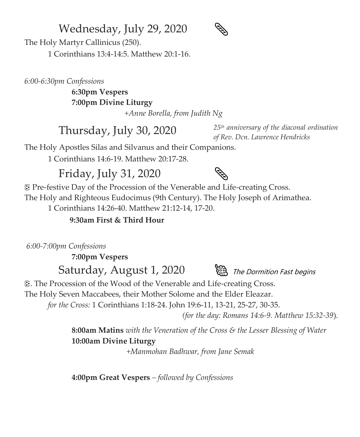### Wednesday, July 29, 2020



The Holy Martyr Callinicus (250).

1 Corinthians 13:4-14:5. Matthew 20:1-16.

*6:00-6:30pm Confessions*

**6:30pm Vespers 7:00pm Divine Liturgy**

*+Anne Borella, from Judith Ng*

Thursday, July 30, 2020 *<sup>25</sup>th anniversary of the diaconal ordination of Rev. Dcn. Lawrence Hendricks*

The Holy Apostles Silas and Silvanus and their Companions.

1 Corinthians 14:6-19. Matthew 20:17-28.

## Friday, July 31, 2020



 Pre-festive Day of the Procession of the Venerable and Life-creating Cross. The Holy and Righteous Eudocimus (9th Century). The Holy Joseph of Arimathea.

1 Corinthians 14:26-40. Matthew 21:12-14, 17-20.

#### **9:30am First & Third Hour**

*6:00-7:00pm Confessions*

**7:00pm Vespers**

Saturday, August 1, 2020 (a) The Dormition Fast begins



. The Procession of the Wood of the Venerable and Life-creating Cross.

The Holy Seven Maccabees, their Mother Solome and the Elder Eleazar.

*for the Cross:* 1 Corinthians 1:18-24. John 19:6-11, 13-21, 25-27, 30-35.

*(for the day: Romans 14:6-9. Matthew 15:32-39*).

**8:00am Matins** *with the Veneration of the Cross & the Lesser Blessing of Water* **10:00am Divine Liturgy**

*+Manmohan Badhwar, from Jane Semak*

**4:00pm Great Vespers** *– followed by Confessions*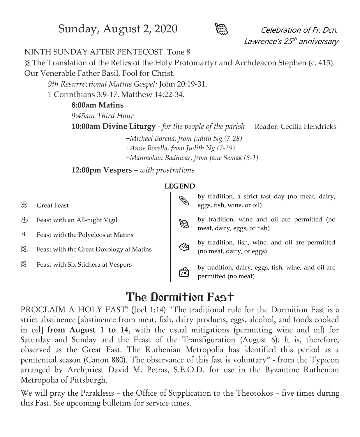Sunday, August 2, 2020 **Celebration of Fr. Dcn.** 



Lawrence's 25<sup>th</sup> anniversary

#### NINTH SUNDAY AFTER PENTECOST. Tone 8

 The Translation of the Relics of the Holy Protomartyr and Archdeacon Stephen (c. 415). Our Venerable Father Basil, Fool for Christ.

*9th Resurrectional Matins Gospel:* John 20:19-31.

1 Corinthians 3:9-17. Matthew 14:22-34.

#### **8:00am Matins**

*9:45am Third Hour*

**10:00am Divine Liturgy** *- for the people of the parish* Reader: Cecilia Hendricks

 *+Michael Borella, from Judith Ng (7-28) +Anne Borella, from Judith Ng (7-29) +Manmohan Badhwar, from Jane Semak (8-1)*

**12:00pm Vespers** *– with prostrations*

#### **LEGEND**

 Great Feast Feast with an All-night Vigil  $\ddagger$  Feast with the Polyeleos at Matins . Feast with the Great Doxology at Matins Feast with Six Stichera at Vespers by tradition, a strict fast day (no meat, dairy, eggs, fish, wine, or oil) by tradition, wine and oil are permitted (no meat, dairy, eggs, or fish) by tradition, fish, wine, and oil are permitted (no meat, dairy, or eggs) by tradition, dairy, eggs, fish, wine, and oil are<br>
parmitted (no most) permitted (no meat)

## The Dormition Fast

PROCLAIM A HOLY FAST! (Joel 1:14) "The traditional rule for the Dormition Fast is a strict abstinence [abstinence from meat, fish, dairy products, eggs, alcohol, and foods cooked in oil] from August 1 to 14, with the usual mitigations (permitting wine and oil) for Saturday and Sunday and the Feast of the Transfiguration (August 6). It is, therefore, observed as the Great Fast. The Ruthenian Metropolia has identified this period as a penitential season (Canon 880). The observance of this fast is voluntary" - from the Typicon arranged by Archpriest David M. Petras, S.E.O.D. for use in the Byzantine Ruthenian Metropolia of Pittsburgh.

We will pray the Paraklesis – the Office of Supplication to the Theotokos – five times during this Fast. See upcoming bulletins for service times.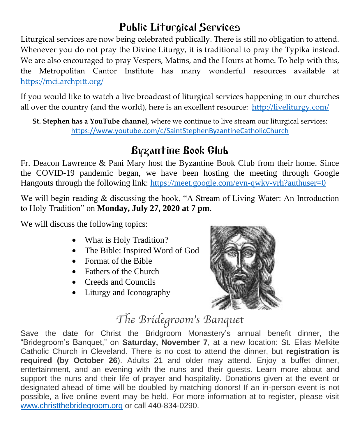### Public Liturgical Services

Liturgical services are now being celebrated publically. There is still no obligation to attend. Whenever you do not pray the Divine Liturgy, it is traditional to pray the Typika instead. We are also encouraged to pray Vespers, Matins, and the Hours at home. To help with this, the Metropolitan Cantor Institute has many wonderful resources available at <https://mci.archpitt.org/>

If you would like to watch a live broadcast of liturgical services happening in our churches all over the country (and the world), here is an excellent resource: <http://liveliturgy.com/>

**St. Stephen has a YouTube channel**, where we continue to live stream our liturgical services: <https://www.youtube.com/c/SaintStephenByzantineCatholicChurch>

## Byzantine Book Club

Fr. Deacon Lawrence & Pani Mary host the Byzantine Book Club from their home. Since the COVID-19 pandemic began, we have been hosting the meeting through Google Hangouts through the following link:<https://meet.google.com/eyn-qwkv-vrh?authuser=0>

We will begin reading & discussing the book, "A Stream of Living Water: An Introduction to Holy Tradition" on **Monday, July 27, 2020 at 7 pm**.

We will discuss the following topics:

- What is Holy Tradition?
- The Bible: Inspired Word of God
- Format of the Bible
- Fathers of the Church
- Creeds and Councils
- Liturgy and Iconography



# *The Bridegroom's Banquet*

Save the date for Christ the Bridgroom Monastery's annual benefit dinner, the "Bridegroom's Banquet," on **Saturday, November 7**, at a new location: St. Elias Melkite Catholic Church in Cleveland. There is no cost to attend the dinner, but **registration is required (by October 26**). Adults 21 and older may attend. Enjoy a buffet dinner, entertainment, and an evening with the nuns and their guests. Learn more about and support the nuns and their life of prayer and hospitality. Donations given at the event or designated ahead of time will be doubled by matching donors! If an in-person event is not possible, a live online event may be held. For more information at to register, please visit [www.christthebridegroom.org](http://www.christthebridegroom.org/) or call 440-834-0290.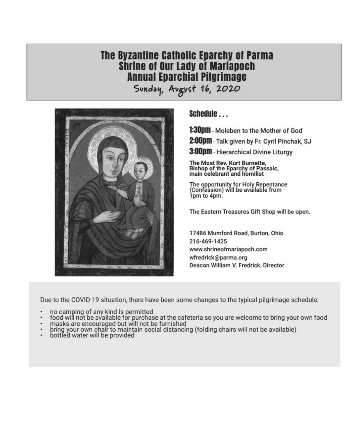### The Byzantine Catholic Eparchy of Parma **Shrine of Our Lady of Mariapoch Annual Eparchial Pilgrimage**

Sunday, August 16, 2020



Schedule

1:300M - Moleben to the Mother of God

2:00pm - Talk given by Fr. Cyril Pinchak, SJ

**3:00pm** - Hierarchical Divine Liturgy

The Most Rev. Kurt Burnette,<br>Bishop of the Eparchy of Passaic,<br>main celebrant and homilist

The opportunity for Holy Repentance<br>(Confession) will be available from 1pm to 4pm.

The Eastern Treasures Gift Shop will be open.

17486 Mumford Road, Burton, Ohio 216-469-1425 www.shrineofmariapoch.com wfredrick@parma.org Deacon William V. Fredrick, Director

Due to the COVID-19 situation, there have been some changes to the typical pilgrimage schedule:

- 
- no camping of any kind is permitted<br>food will not be available for purchase at the cafeteria so you are welcome to bring your own food
- 
- masks are encouraged but will not be furnished<br>bring your own chair to maintain social distancing (folding chairs will not be available)<br>bottled water will be provided
-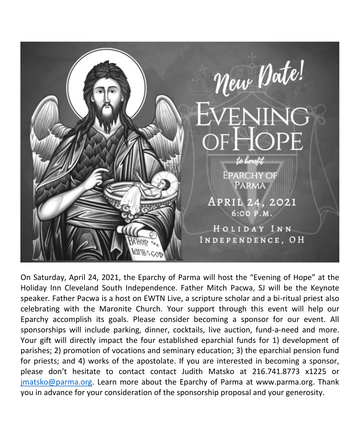

On Saturday, April 24, 2021, the Eparchy of Parma will host the "Evening of Hope" at the Holiday Inn Cleveland South Independence. Father Mitch Pacwa, SJ will be the Keynote speaker. Father Pacwa is a host on EWTN Live, a scripture scholar and a bi-ritual priest also celebrating with the Maronite Church. Your support through this event will help our Eparchy accomplish its goals. Please consider becoming a sponsor for our event. All sponsorships will include parking, dinner, cocktails, live auction, fund-a-need and more. Your gift will directly impact the four established eparchial funds for 1) development of parishes; 2) promotion of vocations and seminary education; 3) the eparchial pension fund for priests; and 4) works of the apostolate. If you are interested in becoming a sponsor, please don't hesitate to contact contact Judith Matsko at 216.741.8773 x1225 or [jmatsko@parma.org.](mailto:jmatsko@parma.org) Learn more about the Eparchy of Parma at www.parma.org. Thank you in advance for your consideration of the sponsorship proposal and your generosity.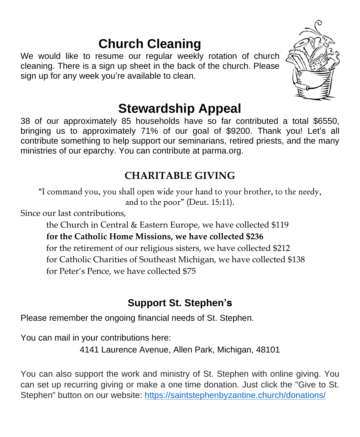# **Church Cleaning**

We would like to resume our regular weekly rotation of church cleaning. There is a sign up sheet in the back of the church. Please sign up for any week you're available to clean.



# **Stewardship Appeal**

38 of our approximately 85 households have so far contributed a total \$6550, bringing us to approximately 71% of our goal of \$9200. Thank you! Let's all contribute something to help support our seminarians, retired priests, and the many ministries of our eparchy. You can contribute at parma.org.

### **CHARITABLE GIVING**

"I command you, you shall open wide your hand to your brother, to the needy, and to the poor" (Deut. 15:11).

Since our last contributions,

the Church in Central & Eastern Europe, we have collected \$119 **for the Catholic Home Missions, we have collected \$236** for the retirement of our religious sisters, we have collected \$212 for Catholic Charities of Southeast Michigan, we have collected \$138 for Peter's Pence, we have collected \$75

### **Support St. Stephen's**

Please remember the ongoing financial needs of St. Stephen.

*You can mail in your contributions here:*

4141 Laurence Avenue, Allen Park, Michigan, 48101

You can also support the work and ministry of St. Stephen with online giving. You can set up recurring giving or make a one time donation. Just click the "Give to St. Stephen" button on our website: <https://saintstephenbyzantine.church/donations/>